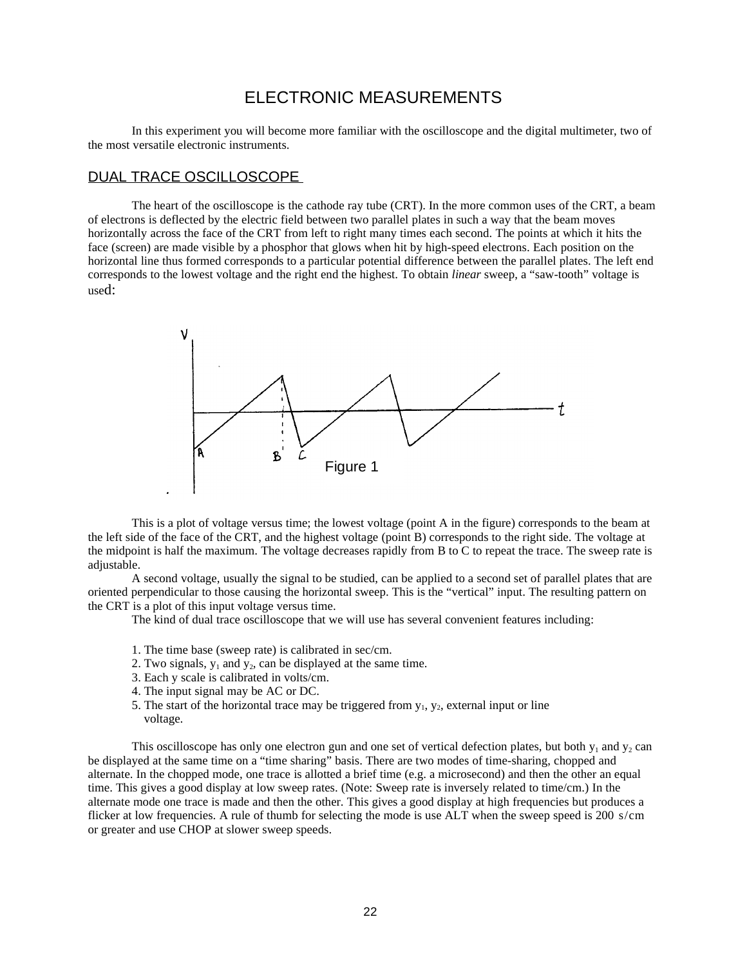# ELECTRONIC MEASUREMENTS

In this experiment you will become more familiar with the oscilloscope and the digital multimeter, two of the most versatile electronic instruments.

#### DUAL TRACE OSCILLOSCOPE

The heart of the oscilloscope is the cathode ray tube (CRT). In the more common uses of the CRT, a beam of electrons is deflected by the electric field between two parallel plates in such a way that the beam moves horizontally across the face of the CRT from left to right many times each second. The points at which it hits the face (screen) are made visible by a phosphor that glows when hit by high-speed electrons. Each position on the horizontal line thus formed corresponds to a particular potential difference between the parallel plates. The left end corresponds to the lowest voltage and the right end the highest. To obtain *linear* sweep, a "saw-tooth" voltage is used:



This is a plot of voltage versus time; the lowest voltage (point A in the figure) corresponds to the beam at the left side of the face of the CRT, and the highest voltage (point B) corresponds to the right side. The voltage at the midpoint is half the maximum. The voltage decreases rapidly from B to C to repeat the trace. The sweep rate is adjustable.

A second voltage, usually the signal to be studied, can be applied to a second set of parallel plates that are oriented perpendicular to those causing the horizontal sweep. This is the "vertical" input. The resulting pattern on the CRT is a plot of this input voltage versus time.

The kind of dual trace oscilloscope that we will use has several convenient features including:

- 1. The time base (sweep rate) is calibrated in sec/cm.
- 2. Two signals,  $y_1$  and  $y_2$ , can be displayed at the same time.
- 3. Each y scale is calibrated in volts/cm.
- 4. The input signal may be AC or DC.
- 5. The start of the horizontal trace may be triggered from  $y_1, y_2$ , external input or line voltage.

This oscilloscope has only one electron gun and one set of vertical defection plates, but both  $y_1$  and  $y_2$  can be displayed at the same time on a "time sharing" basis. There are two modes of time-sharing, chopped and alternate. In the chopped mode, one trace is allotted a brief time (e.g. a microsecond) and then the other an equal time. This gives a good display at low sweep rates. (Note: Sweep rate is inversely related to time/cm.) In the alternate mode one trace is made and then the other. This gives a good display at high frequencies but produces a flicker at low frequencies. A rule of thumb for selecting the mode is use ALT when the sweep speed is 200 s/cm or greater and use CHOP at slower sweep speeds.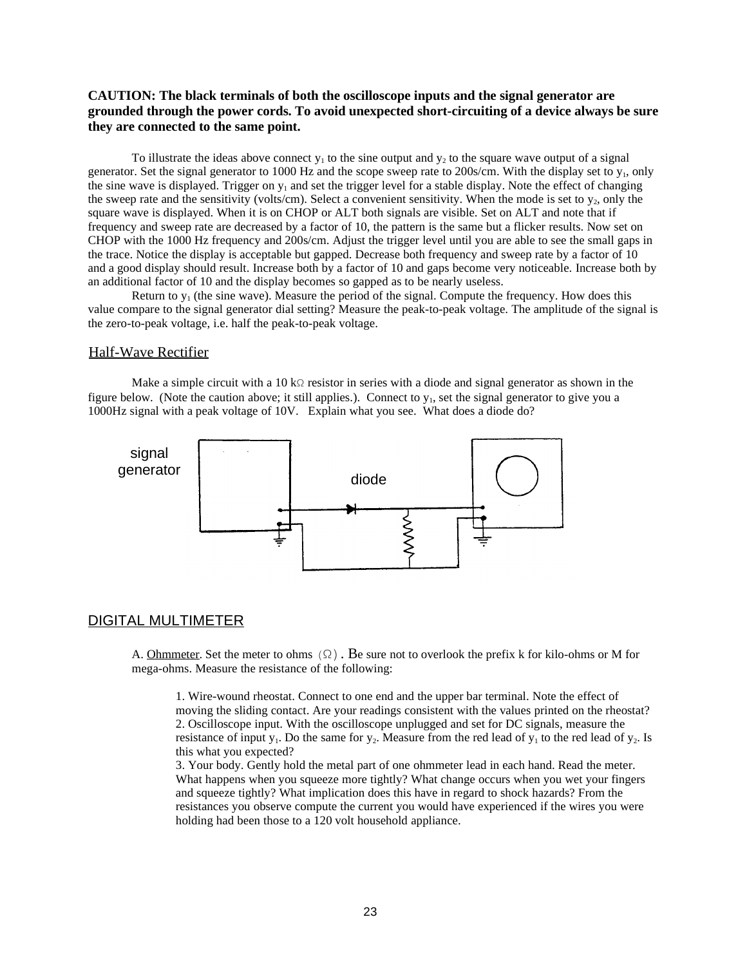## **CAUTION: The black terminals of both the oscilloscope inputs and the signal generator are grounded through the power cords. To avoid unexpected short-circuiting of a device always be sure they are connected to the same point.**

To illustrate the ideas above connect  $y_1$  to the sine output and  $y_2$  to the square wave output of a signal generator. Set the signal generator to 1000 Hz and the scope sweep rate to 200s/cm. With the display set to  $y_1$ , only the sine wave is displayed. Trigger on  $y_1$  and set the trigger level for a stable display. Note the effect of changing the sweep rate and the sensitivity (volts/cm). Select a convenient sensitivity. When the mode is set to  $y_2$ , only the square wave is displayed. When it is on CHOP or ALT both signals are visible. Set on ALT and note that if frequency and sweep rate are decreased by a factor of 10, the pattern is the same but a flicker results. Now set on CHOP with the 1000 Hz frequency and 200s/cm. Adjust the trigger level until you are able to see the small gaps in the trace. Notice the display is acceptable but gapped. Decrease both frequency and sweep rate by a factor of 10 and a good display should result. Increase both by a factor of 10 and gaps become very noticeable. Increase both by an additional factor of 10 and the display becomes so gapped as to be nearly useless.

Return to  $y_1$  (the sine wave). Measure the period of the signal. Compute the frequency. How does this value compare to the signal generator dial setting? Measure the peak-to-peak voltage. The amplitude of the signal is the zero-to-peak voltage, i.e. half the peak-to-peak voltage.

### Half-Wave Rectifier

Make a simple circuit with a 10 kΩ resistor in series with a diode and signal generator as shown in the figure below. (Note the caution above; it still applies.). Connect to  $y_1$ , set the signal generator to give you a 1000Hz signal with a peak voltage of 10V. Explain what you see. What does a diode do?



## DIGITAL MULTIMETER

A. Ohmmeter. Set the meter to ohms  $(\Omega)$ . Be sure not to overlook the prefix k for kilo-ohms or M for mega-ohms. Measure the resistance of the following:

1. Wire-wound rheostat. Connect to one end and the upper bar terminal. Note the effect of moving the sliding contact. Are your readings consistent with the values printed on the rheostat? 2. Oscilloscope input. With the oscilloscope unplugged and set for DC signals, measure the resistance of input  $y_1$ . Do the same for  $y_2$ . Measure from the red lead of  $y_1$  to the red lead of  $y_2$ . Is this what you expected?

3. Your body. Gently hold the metal part of one ohmmeter lead in each hand. Read the meter. What happens when you squeeze more tightly? What change occurs when you wet your fingers and squeeze tightly? What implication does this have in regard to shock hazards? From the resistances you observe compute the current you would have experienced if the wires you were holding had been those to a 120 volt household appliance.